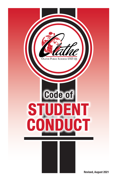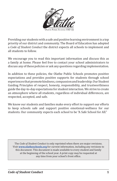

Providing our students with a safe and positive learning environment is a top priority of our district and community. The Board of Education has adopted a *Code of Student Conduct* the district expects all schools to implement and all students to follow.

We encourage you to read this important information and discuss this as a family at home. Please feel free to contact your school administrators to discuss any of these policies or ask any questions regarding implementation.

In addition to these policies, the Olathe Public Schools promotes positive expectations and provides positive supports for students through school experiences that promote kindness, compassion and leadership. Our Student Guiding Principles of respect, honesty, responsibility, and trustworthiness guide the day-to-day expectations for student interaction. We strive to create an atmosphere where all students, regardless of individual differences, are respected, accepted, and safe.

We know our students and families make every effort to support our efforts to keep schools safe and support positive emotional-wellness for our students. Our community expects each school to be "A Safe School for All."

The *Code of Student Conduct* is only reprinted when there are major revisions. Visit **[www.olatheschools.org](http://www.olatheschools.org)** for current information, including any revisions to this document. This document is made available to every student and family at the beginning of the school year. A print copy may be requested at any time from your school's front office.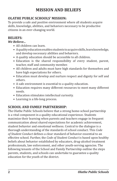# **MISSION AND BELIEFS**

# **OLATHE PUBLIC SCHOOLS' MISSION:**

To provide a safe and positive environment where all students acquire skills, knowledge, abilities, and behaviors necessary to be productive citizens in an ever-changing world.

# **BELIEFS:**

### *We Believe...*

- All children can learn.
- A quality education enables students to acquire skills, learn knowledge, and develop necessary abilities and behaviors.
- A quality education should be accessible to all children.
- Education is the shared responsibility of every student, parent, teacher, staff and community member.
- All children and adults must have high standards for themselves and have high expectations for others.
- Education must develop and nurture respect and dignity for self and others.
- A safe environment is essential to a quality education.
- Education requires many different resources to meet many different needs.
- Education stimulates intellectual curiosity.
- Learning is a life-long process.

# **SCHOOL AND FAMILY PARTNERSHIP:**

The Olathe Public Schools believe that a strong home-school partnership is a vital component in a quality educational experience. Students maximize their learning when parents and teachers engage in frequent communication about shared expectations for academic achievement, student behavior and emotional wellness. Central to the dialogue is a thorough understanding of the standards of school conduct. This *Code of Student Conduct* defines a clear standard of behavior essential to an effective school. Further, the *Code of Student Conduct* is based upon healthy beliefs about behavior established by educators, drug-alcohol treatment professionals, law enforcement, and other youth-serving agencies. The following tenants of the School and Family Partnership outline the steps parents, students, and schools can undertake to guarantee a quality education for the youth of the district.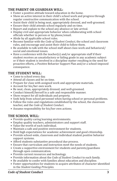## **THE PARENT OR GUARDIAN WILL:**

- Foster a positive attitude toward education in the home.
- Show an active interest in their child's school work and progress through regular constructive communication with the school.
- Assist their child in being neat, appropriately dressed, and well-groomed.
- Ensure their child attends school regularly and on time.
- Report and explain to the school any absence or late arrival.
- Display civil and appropriate behavior when collaborating with school officials whether in person or by phone/email.
- Abide by all applicable school rules.
- Become familiar with the *Code of Student Conduct*, the school and classroom rules, and encourage and assist their child to follow them.
- Be available to talk with the school staff about class work and behavioral/ social and emotional issues.
- Have a conference with the teacher(s) and/or appropriate staff if their student receives an unsatisfactory or failing grade in any academic subject or if their student is involved in a discipline matter resulting in the need for proactive efforts, a Positive Behavior Support Plan and/or a school-imposed consequence.

## **THE STUDENT WILL:**

- Come to school every day.
- Attend all classes and be on time.
- Prepare for class with assigned work and appropriate materials.
- Account for his/her own work.
- Be neat, clean, appropriately dressed, and well-groomed.
- Conduct himself/herself in a safe and responsible manner.
- Show respect for all individuals and property.
- Seek help from school personnel when having school or personal problems.
- Follow the rules and regulations established by the school, the classroom teacher, and the *Code of Student Conduct*.
- Assume responsibility for his/her own actions.

# **THE SCHOOL WILL:**

- Provide quality caring learning environments.
- Employ quality teachers, administrators and support staff.
- Value the worth of each individual.
- Maintain a safe and positive environment for students.
- Hold high expectations for academic achievement and good citizenship.
- Provide school-wide, classroom and individual student positive behavior support systems.
- Afford students substantive procedural due process.
- Ensure that curriculum and instruction meet the needs of students.
- Create a supportive environment for students and parents/guardians through open communication.
- Provide current resources and technology.
- Provide information about the *Code of Student Conduct* to each family.
- Be available to confer with families about education and discipline.
- Foster opportunities for students to acquire attributes of character identified in the *Student Guiding Principles*.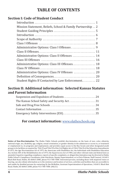# **TABLE OF CONTENTS**

## **Section I: Code of Student Conduct**

| Mission Statement, Beliefs, School & Family Partnership 2 |
|-----------------------------------------------------------|
|                                                           |
|                                                           |
|                                                           |
|                                                           |
|                                                           |
|                                                           |
| Administrative Options: Class II Offenses  14             |
|                                                           |
| Administrative Options: Class III Offenses. 18            |
|                                                           |
| Administrative Options: Class IV Offenses  20             |
|                                                           |
| Student Rights If Contacted by Law Enforcement 22         |
|                                                           |

### **Section II: Additional information: Selected Kansas Statutes and Parent Information**

| The Kansas School Safety and Security Act31 |  |
|---------------------------------------------|--|
|                                             |  |
|                                             |  |
| Emergency Safety Interventions (ESI)35      |  |

## **For contact information:** [www.olatheschools.org](http://www.olatheschools.org)

**Notice of Non-Discrimination:** The Olathe Public Schools prohibit discrimination on the basis of race, color, ethnicity, national origin, sex, disability, age, religion, sexual orientation, or gender identity in the admission or access to, or treatment or employment in, its programs and employment, and provides equal access to the Boy Scouts and other designated youth groups to its facilities as required by: Title VI and Title VII of the Civil Rights Act of 1964; Title IX of the Education Amendments of 1972, the Age Discrimination Act of 1975, the Americans with Disabilities Act, the Individuals with Disabilities Education Act, Section 504 of the Rehabilitation Act of 1973, the Equal Access Act of 1984, and other relevant state and federal laws as amended. Inquiries regarding compliance, reports of specific complaints, or alleged discrimination may be directed to Olathe Public School's Compliance Coordinator, John Hutchison, Deputy Superintendent, or to Chris Pittman, Staff Counsel, 14160 S. Black Bob Road, Olathe, KS 66063-2000, phone 913-780-7000. Interested persons, including those with impaired vision or hearing, can also obtain information as to the existence and location of services, activities and facilities that are accessible to and usable by disabled persons by contacting Dr. Jim McMullen, Assistant Superintendent of Operations, 14160 S. Black Bob Road, Olathe, KS 66063-2000, phone 913-780-7000. (08/21)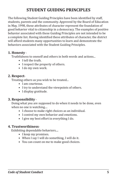# **STUDENT GUIDING PRINCIPLES**

The following Student Guiding Principles have been identified by staff, students, parents and the community. Approved by the Board of Education in May, 1998, these attributes of character represent the foundation of good behavior vital to citizenship in a democracy. The examples of positive behavior associated with these Guiding Principles are not intended to be a complete list. Having identified these attributes of character, the district will afford students many opportunities to learn and demonstrate the behaviors associated with the Student Guiding Principles.

### **1. Honesty** -

Truthfulness to oneself and others in both words and actions...

- I tell the truth.
- I respect the property of others.
- I do my own work.

### **2. Respect**-

Treating others as you wish to be treated...

- I am courteous.
- I try to understand the viewpoints of others.
- I display gratitude.

## **3. Responsibility** -

 Doing what you are supposed to do when it needs to be done, even when no one is watching....

- I choose to make right choices as an individual.
- I control my own behavior and emotions.
- I give my best effort in everything I do.

### **4. Trustworthiness**-

Exhibiting dependable behaviors....

- I keep my promises.
- When I say I will do something, I will do it.
- You can count on me to make good choices.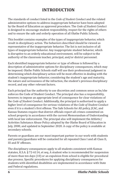# **INTRODUCTION**

The standards of conduct listed in the *Code of Student Conduct* and the related administrative options to address inappropriate behavior have been adopted by the Board of Education as approved procedure. The *Code of Student Conduct* is designed to encourage student responsibility, respect for the rights of others and to ensure the safe and orderly operation of all Olathe Public Schools.

This booklet contains examples of the types of inappropriate behavior, which result in disciplinary action. The behaviors described should be viewed as representative of the inappropriate behavior. The list is not inclusive of all types of inappropriate behavior. Any inappropriate student behavior, which is disruptive to an orderly educational environment, will be subject to the authority of the classroom teacher, principal, and/or district personnel.

Each identified inappropriate behavior or type of offense is followed by a description of administrative options for disciplinary consequences, which may be imposed. Olathe Public Schools staff will use their professional judgment in determining which disciplinary action will be most effective in dealing with the student's inappropriate behavior, considering the student's age and maturity, the nature and seriousness of the infraction, the student's previous disciplinary record, and any other relevant factors.

Each principal has the authority to use discretion and common sense as he/she enforces the Code of Student Conduct. The principal also has a responsibility, however, to impose an appropriate level of consequence for clear violations of the *Code of Student Conduct*. Additionally, the principal is authorized to apply a higher level of consequence for serious violations of the *Code of Student Conduct* even if it is a student's first offense. The Safe Schools for All policy, JCAC, and Kansas Statutes require that district officials report all crimes committed on school property in accordance with the current Memorandum of Understanding with local law enforcement. The principal also will implement the Athletic/ Activities Substance Abuse Policy adopted by the Olathe Board of Education in July, 2000, and updated in September 2020. A copy of the policy is available at secondary schools.

Parents or guardians are our most important partner in our work with students and parents/guardians will be contacted for all repeated Class I and all Class II, III and IV offenses.

The disciplinary consequences apply to all students consistent with Kansas statutes, K.S.A. § 72-6114, et seq. A student who is recommended for suspension of more than ten days (10) or an expulsion from school is eligible for procedural due process. Specific procedures for applying disciplinary consequences for students with identified disabilities are implemented in accordance with State and Federal regulations.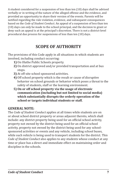A student considered for a suspension of less than ten (10) days shall be advised verbally or in writing of the nature of the alleged offense and the evidence, and provided an opportunity to share their version of the events. Parents will be notified regarding the rule violation, evidence, and subsequent consequences based on the *Code of Student Conduct*. An appeal of a suspension of less than ten (10) days can only be made to the school principal, and the decision to grant or deny such an appeal is at the principal's discretion. There is not a district-level procedural due process for suspensions of less than ten (10) days.

# **SCOPE OF AUTHORITY**

The provisions of this Code apply in all situations in which students are involved, including conduct occurring:

- **1)** On Olathe Public Schools property.
- **2)** On district approved and/or provided transportation and at bus stops.
- **3)** At off-site school sponsored activities.
- **4)** Off school property which is the result or cause of disruptive behavior on school grounds or behavior which poses a threat to the safety of students, staff or the learning environment.
- **5) On or off school property via the usage of electronic communication (including but not limited to social media) which substantially disrupts the orderly operation of the school or targets individual students or staff.**

# **GENERAL NOTE:**

The *Code of Student Conduct* applies at all times while students are on or about school district property or areas adjacent thereto, which shall include: any district property being used for an official school activity, property not owned by the district being used for an official school activity, property not owned by the district being used for any schoolsponsored activities or events and any vehicle, including school buses, while such vehicle is being used to transport students for the district. This *Code of Student Conduct* also applies to any students whose conduct at any time or place has a direct and immediate effect on maintaining order and discipline in the schools.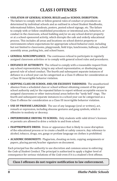# **CLASS I OFFENSES**

#### • **VIOLATION OF GENERAL SCHOOL RULES and/or SCHOOL DISRUPTION:**

The failure to comply with or follow general rules of conduct or procedures as determined by individual schools and as outlined in school Student Handbooks, informational folders, handouts, posters, posted school signage, etc. The failure to comply with or follow established procedures or intentional acts, behaviors, or conduct in the classroom, school building and/or on any school district property or at a school-sponsored activity, which disrupts the safe and orderly educational process. This includes all areas and locations on school district property or environments where expectations for appropriate school-behavior exist, including but not limited to classrooms, playgrounds, field trips, lunchrooms, hallways, school assembly areas, parking lots, and school buses.

- **GENERAL NONCOMPLIANCE:** The continuous refusal to participate in regularly assigned classroom activities or to comply with general school rules and procedures.
- **DEFIANCE OF AUTHORITY:** The refusal to comply with a reasonable request from any school representative, lying to any school representative, or disobeying any general rule of school conduct. The fourth and subsequent separate instances of defiance in a school year can be categorized as a Class II offense for consideration as a Class III incorrigible behavior violation.
- **SKIPPING CLASS OR SCHOOL AND/OR EXCESSIVE TARDINESS:** The unauthorized absence from a scheduled class or school without obtaining consent of the proper school authority and/or the repeated failure to report without acceptable excuse to assigned classrooms or other instructional areas before the "tardy bell" rings. The fourth and subsequent separate instances in a school year can be categorized as a Class II offense for consideration as a Class III incorrigible behavior violation.
- **USE OF PROFANE LANGUAGE:** The use of any language (oral or written), act, remark or expression, including obscene gestures and gang symbols, which is offensive to modesty or decency.
- **IMPERMISSIBLE DRIVING TO SCHOOL:** Only students with valid driver's licenses or permits are allowed to drive a vehicle to and from school.
- **INAPPROPRIATE DRESS:** Dress or appearance that is likely to cause disruption of the educational process or to create a health or safety concern. Any reference to alcohol, tobacco, drugs, sex, gangs or profane language on clothes is prohibited.
- **ACADEMIC DISHONESTY:** Plagiarism, cheating on tests, copying assignments or papers, placing parent/teacher signature on document.

Each principal has the authority to use discretion and common sense in enforcing the *Code of Student Conduct*. The principal is authorized to apply a higher level of consequence for serious violations of the *Code* even if it is a student's first offense.

### **Class I offenses do not require notification to law enforcement.**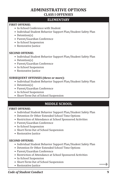# **ADMINISTRATIVE OPTIONS CLASS I OFFENSES**

### **ELEMENTARY**

#### **FIRST OFFENSE:**

- In-School Conference with Student
- Individual Student Behavior Support Plan/Student Safety Plan
- Detention(s)
- Parent/Guardian Conference
- In-School Suspension
- Restorative Justice

#### **SECOND OFFENSE:**

- Individual Student Behavior Support Plan/Student Safety Plan
- Detention(s)
- Parent/Guardian Conference
- In-School Suspension
- Restorative Justice

#### **SUBSEQUENT OFFENSES (three or more):**

- Individual Student Behavior Support Plan/Student Safety Plan
- Detention(s)
- Parent/Guardian Conference
- In-School Suspension
- Short-Term Out of School Suspension

### **MIDDLE SCHOOL**

#### **FIRST OFFENSE:**

- Individual Student Behavior Support Plan/Student Safety Plan
- Detention Or Other Extended School Time Options
- Restriction of Attendance at School Sponsored Activities
- Parent/Guardian Conference
- In-School Suspension
- Short-Term Out of School Suspension
- Restorative Justice

#### **SECOND OFFENSE:**

- Individual Student Behavior Support Plan/Student Safety Plan
- Detention Or Other Extended School Time Options
- Parent/Guardian Conference
- Restriction of Attendance at School Sponsored Activities
- In-School Suspension
- Short-Term Out of School Suspension
- Restorative Justice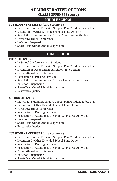# **ADMINISTRATIVE OPTIONS CLASS I OFFENSES (cont.)**

## **MIDDLE SCHOOL**

#### **SUBSEQUENT OFFENSES (three or more):**

- Individual Student Behavior Support Plan/Student Safety Plan
- Detention Or Other Extended School Time Options
- Restriction of Attendance at School Sponsored Activities
- Parent/Guardian Conference
- In-School Suspension
- Short-Term Out of School Suspension

## **HIGH SCHOOL**

#### **FIRST OFFENSE:**

- In-School Conference with Student
- Individual Student Behavior Support Plan/Student Safety Plan
- Detention or Other Extended School Time Options
- Parent/Guardian Conference
- Revocation of Parking Privilege
- Restriction of Attendance at School-Sponsored Activities
- In-School Suspension
- Short-Term Out of School Suspension
- Restorative Justice

#### **SECOND OFFENSE:**

- Individual Student Behavior Support Plan/Student Safety Plan
- Detention Or Other Extended School Time Options
- Parent/Guardian Conference
- Revocation of Parking Privilege
- Restriction of Attendance at School-Sponsored Activities
- In-School Suspension
- Short-Term Out of School Suspension
- Restorative Justice

#### **SUBSEQUENT OFFENSES (three or more):**

- Individual Student Behavior Support Plan/Student Safety Plan
- Detention Or Other Extended School Time Options
- Revocation of Parking Privilege
- Restriction of Attendance at School-Sponsored Activities
- Parent/Guardian Conference
- In-School Suspension
- Short-Term Out of School Suspension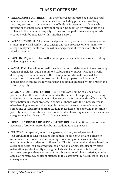# **CLASS II OFFENSES**

- **VERBAL ABUSE OR THREAT:** Any act of disrespect directed at a teacher, staff member, student or other person in school, including profane or insulting remarks, gestures, or a statement that offends or is intended to offend such persons or the intentional unlawful threat or intimidation by word or act to do violence to the person or property of others or the performance of any act which creates a well-founded fear within another person.
- **INCITING TO FIGHT:** The intentional promotion by a student to engage another student in physical conflict, or to engage and/or encourage other students to engage in physical conflict or the willful engagement of two or more students in physical combat.
- **BATTERY:** Physical contact with another person when done in a rude, insulting and/or angry manner.
- **VANDALISM:** The willful or malicious destruction or defacement of any property. Vandalism includes, but is not limited to, breaking windows, writing on walls, destroying restroom fixtures, or the use of paint or like materials to deface any portion of the interior or exterior of school property and lawns and/or landscaping, including the furnishings and equipment housed within or upon the school property.
- **STEALING, GAMBLING, EXTORTION:** The unlawful taking or disposition of property of another with intent to deprive the person of the property. Receiving stolen property or possession of stolen property is included in this offense, or the participation on school property in games of chance with the express purpose of exchanging money or other tangible barter, or the solicitation of money, or something of value, from another student, regardless of the amount, in return for protection or in connection with a threat to inflict harm. Significant offenses in this category may be subject to Class III consequences.
- **CONTRIBUTING TO A DISRUPTIVE SITUATION:** The intentional promotion or advocacy of student misconduct by any student, for any purpose.
- **BULLYING:** A repeated, intentional gesture, written, verbal, electronic (cyberbullying) or physical act or threat, that is sufficiently severe, persistent or pervasive and creates an intimidating, threatening or abusive educational environment for a student or staff member. This includes conduct that is based on a student's actual or perceived race, color, national origin, sex, disability, sexual orientation, gender identity or religion. This also includes association with a person or group with one or more of the aforementioned characteristics, whether actual or perceived. Significant offenses in this category may be subject to Class III consequences.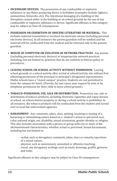- **INCENDIARY DEVICES:** The possession of any combustible or explosive substance or any flame-producing device is forbidden (examples include: lighters, ammunition, fireworks, etc). The intentional damaging of a building or the disruption caused either in the building or on school grounds by the use of any combustible or explosive substance or device. Significant offenses in this category may be subject to Class III consequences.
- **POSSESSION OR EXHIBITION OF OBSCENE LITERATURE OR MATERIAL:** This includes material transmitted or received via electronic means (including personal electronic devices). In all instances the parent/guardian will be notified and the material will be confiscated from the student and be returned only to the parent/ guardian.
- **MISUSE OF COMPUTER OR VIOLATION OF NETWORK PRACTICES:** Any misuse (including personal electronic devices) or inappropriate network practices including, but not limited to, practices that do not conform to District policy or procedures.
- **LEAVING SCHOOL OR SCHOOL ACTIVITY WITHOUT PERMISSION:** Leaving school grounds or a school activity after arrival at school/activity site without first obtaining permission of the principal or principal's designated representative. Olathe schools have a "closed campus" practice. Students are not permitted to leave the campus for lunch. (Parents, for just cause, may request by note or by telephone permission for their child to leave school ground.)
- **TOBACCO-POSSESSION, USE, SALE OR DISTRIBUTION:** Possession, use, sale or distribution of tobacco products, including electronic cigarettes and vapor devices at school, on school district property or during a school activity is prohibited. In all instances, the tobacco products will be confiscated from the student and turned over to local law enforcement agencies.
- **HARASSMENT:** Any comments, jokes, slurs, spitting, touching or teasing of a harassing or intimidating nature based on a student's actual or perceived race, color, national origin, sex, disability, sexual orientation, gender identity or religion. This also includes association with a person or group with one or more of the aforementioned characteristics, whether actual or perceived. Sexual harassment, including but not limited to:
	- verbal, such as derogatory comments, jokes, slurs or remarks/questions of a sexual nature;
	- physical, such as unnecessary, unwanted or offensive touching;
	- visual, any derogatory writings such as email, drawings, graffiti, gestures and looks.

Significant offenses in this category may be subject to Class III consequences.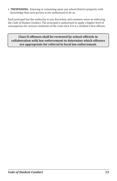• **TRESPASSING:** Entering or remaining upon any school district property with knowledge that such person is not authorized to do so.

Each principal has the authority to use discretion and common sense in enforcing the *Code of Student Conduct*. The principal is authorized to apply a higher level of consequence for serious violations of the *Code* even if it is a student's first offense.

**Class II offenses shall be reviewed by school officials in collaboration with law enforcement to determine which offenses are appropriate for referral to local law enforcement.**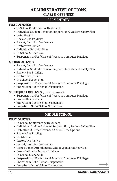# **ADMINISTRATIVE OPTIONS CLASS II OFFENSES**

### **ELEMENTARY**

#### **FIRST OFFENSE:**

- In-School Conference with Student
- Individual Student Behavior Support Plan/Student Safety Plan
- Detention(s)
- Review Bus Privilege
- Parent/Guardian Conference
- Restorative Justice
- Individual Behavior Plan
- In-School Suspension
- Suspension or Forfeiture of Access to Computer Privilege

#### **SECOND OFFENSE:**

- Parent/Guardian Conference
- Individual Student Behavior Support Plan/Student Safety Plan
- Review Bus Privilege
- Restorative Justice
- In-School Suspension
- Suspension or Forfeiture of Access to Computer Privilege
- Short-Term Out of School Suspension

#### **SUBSEQUENT OFFENSES (three or more):**

- Suspension or Forfeiture of Access to Computer Privilege
- Loss of Bus Privilege
- Short-Term Out of School Suspension
- Long-Term Out of School Suspension

## **MIDDLE SCHOOL**

#### **FIRST OFFENSE:**

- In-School Conference with Student
- Individual Student Behavior Support Plan/Student Safety Plan
- Detention Or Other Extended School Time Options
- Review Bus Privilege
- Restitution
- Restorative Justice
- Parent/Guardian Conference
- Restriction of Attendance at School Sponsored Activities
- Loss of Athletic/Activity Privilege
- In-School Suspension
- Suspension or Forfeiture of Access to Computer Privilege
- Short-Term Out of School Suspension
- Long-Term Out of School Suspension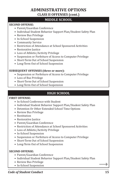# **ADMINISTRATIVE OPTIONS CLASS II OFFENSES (cont.)**

### **MIDDLE SCHOOL**

#### **SECOND OFFENSE:**

- Parent/Guardian Conference
- Individual Student Behavior Support Plan/Student Safety Plan
- Review Bus Privilege
- In-School Suspension
- Community Service
- Restriction of Attendance at School Sponsored Activities
- Restorative Justice
- Loss of Athletic/Activity Privilege
- Suspension or Forfeiture of Access to Computer Privilege
- Short-Term Out of School Suspension
- Long-Term Out of School Suspension

### **SUBSEQUENT OFFENSES (three or more):**

- Suspension or Forfeiture of Access to Computer Privilege
- Loss of Bus Privilege
- Short-Term Out of School Suspension
- Long-Term Out of School Suspension

# **HIGH SCHOOL**

#### **FIRST OFFENSE:**

- In-School Conference with Student
- Individual Student Behavior Support Plan/Student Safety Plan
- Detention Or Other Extended School Time Options
- Review Bus Privilege
- Restitution
- Restorative Justice
- Parent/Guardian Conference
- Restriction of Attendance at School Sponsored Activities
- Loss of Athletic/Activity Privilege
- In-School Suspension
- Suspension or Forfeiture of Access to Computer Privilege
- Short-Term Out of School Suspension
- Long-Term Out of School Suspension

#### **SECOND OFFENSE:**

- Parent/Guardian Conference
- Individual Student Behavior Support Plan/Student Safety Plan
- Review Bus Privilege
- In-School Suspension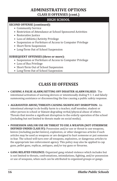# **ADMINISTRATIVE OPTIONS CLASS II OFFENSES (cont.)**

## **HIGH SCHOOL**

#### **SECOND OFFENSE (continued):**

- Community Service
- Restriction of Attendance at School Sponsored Activities
- Restorative Justice
- Loss of Athletic/Activity Privilege
- Suspension or Forfeiture of Access to Computer Privilege
- Short-Term Suspension
- Long-Term Out of School Suspension

### **SUBSEQUENT OFFENSES (three or more):**

- Suspension or Forfeiture of Access to Computer Privilege
- Loss of Bus Privilege
- Short-Term Out of School Suspension
- Long-Term Out of School Suspension

# **CLASS III OFFENSES**

- **CAUSING A FALSE ALARM/SETTING OFF DISASTER ALARM FALSELY:** The intentional activation of warning devices or intentionally dialing 9-1-1 and falsely summoning assistance or disconnecting the line causing a public safety response.
- **AGGRAVATED ABUSE/THREATS CAUSING SIGNIFICANT DISRUPTION:** An intentional attempt to do bodily harm to a teacher, staff member, student or other person in school or blatant degrading verbal/physical abuse of others. Threats that involve a significant disruption to the orderly operation of the school (including but not limited to threats made on social media).
- **POSSESSION AND/OR USE OR THREAT TO USE A WEAPON (NOT OTHERWISE DEFINED UNDER CLASS IV):** Possession and/or use or threat to use weapons, knives (including pocket knives), explosives, or other dangerous articles if such articles may be used as weapons or are designed to hurt someone or put someone in fear. The school will turn over all weapons, explosives, or dangerous articles to the appropriate law enforcement agency. This policy may also be applied to cap guns, pellet guns, replicas, antiques, and/or toy guns or firearms.
- **GANG RELATED VIOLENCE:** Organized gang related violence which includes but is not limited to threats, confrontations, intimidations, fighting, and/or possession or use of weapons, when such can be attributed to organized groups or gangs.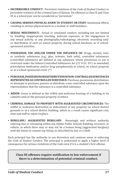- **INCORRIGIBLE CONDUCT:** Persistent violations of the *Code of Student Conduct* or persistent violation of the criminal laws of Kansas. Six offenses in Class II and Class III in a school year can be considered as "persistent."
- **CAUSING SERIOUS PHYSICAL HARM TO STUDENT OR STAFF:** Intentional efforts resulting in serious physical harm to a student or staff members.
- **SEXUAL MISCONDUCT:** Actual or simulated conduct, including but not limited to, fondling, inappropriate touching, indecent exposure, or the engagement in any sexual activity, or any photography/videotaping/ electronic recording and/ or distribution of such on school property, during school functions, or at schoolsponsored activities.
- **POSSESSION, USE AND/OR UNDER THE INFLUENCE OF:** Drugs, alcohol, toxic or synthetic substances (e.g., glue, solvents, bath salts), controlled substances (controlled substances are defined as any substance whose possession or use is restricted under the federal Controlled Substances Act (21 U.S.C. 811 as amended) prescription medication and/or drug paraphernalia at school, on school property or at a school-sponsored event. (\*)
- **PURCHASE, POSSESSION OR DISTRIBUTION OF NON-CONTROLLED SUBSTANCES REPRESENTED AS CONTROLLED SUBSTANCE:** Purchase, possession, distribution, or attempts to purchase, possess or distribute a non-controlled substance upon the representation that the substance is a controlled substance.
- **ARSON:** Arson is defined as the willful and malicious burning of a building or its contents and/or the personal property of others.
- **CRIMINAL DAMAGE TO PROPERTY WITH AGGRAVATED CIRCUMSTANCES:** The willful or malicious destruction or defacement of any property on school district grounds or in a school district building, which as a result causes significant cost, time and staff to repair/replace.
- **BURGLARY/ AGGRAVATED BURGLARY:** Knowingly and without authority entering into or remaining within any Olathe Public Schools building, structure, or vehicle, in which there may or may not be a human being (aggravated burglary) with the intent to commit any felony, as described by law, or a theft.

Each principal has the authority to use discretion and common sense in enforcing the *Code of Student Conduct*. The principal is authorized to apply a higher level of consequence for serious violations of the *Code* even if it is a student's first offense.

### **Class III offenses require notification to law enforcement if there is a determination of potential criminal conduct.**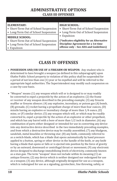# **ADMINISTRATIVE OPTIONS CLASS III OFFENSES**

| <b>ELEMENTARY:</b>                    | <b>HIGH SCHOOL:</b>                        |
|---------------------------------------|--------------------------------------------|
| • Short-Term Out of School Suspension | • Short-Term Out of School Suspension      |
| • Long-Term Out of School Suspension  | • Long-Term Out of School Suspension       |
| <b>MIDDLE SCHOOL:</b>                 | Expulsion                                  |
| • Short-Term Out of School Suspension | (*indicates eligibility for an Alternative |
| • Long-Term Out of School Suspension  | Discipline Agreement for a 1st time        |
| • Expulsion                           | offense only - See ADA and Guidelines)     |

# **CLASS IV OFFENSES**

- **POSSESSION AND/OR USE OF A FIREARM OR WEAPON:** Any student who is determined to have brought a weapon (as defined in this subparagraph) upon Olathe Public School property in violation of this policy shall be suspended for a period of not less than one (1) year or be expelled and will be referred to the appropriate legal authorities. The Superintendent may modify such suspension on a case-by-case basis.
- "Weapon" means (1) any weapon which will or is designed to or may readily be converted to expel a projectile by the action of an explosive; (2) the frame or receiver of any weapon described in the preceding example; (3) any firearm muffler or firearm silencer; (4) any explosive, incendiary, or poison gas (A) bomb, (B) grenade, (C) rocket having a propellant charge of more than four ounces, (D) missile having an explosive or incendiary charge of more than 1/4 ounce, (E) mine, or (F) similar device; (5) any weapon which will, or which may be readily converted to, expel a projectile by the action of an explosive or other propellant, and which has any barrel with a bore of more than 1/2 inch in diameter; (6) any combination of parts either designed or intended for use in converting any device into any destructive device described in the two immediately preceding examples, and from which a destructive device may be readily assembled; (7) any bludgeon, sandclub, metal knuckles or throwing star; (8) any knife, commonly referred to as a switch-blade, which has a blade that opens automatically by hand pressure applied to a button, spring or other device in the handle of the knife, or any knife having a blade that opens or falls or is ejected into position by the force of gravity or by an outward, downward or centrifugal thrust or movement; (9) any electronic device designed to discharge immobilizing levels of electricity, commonly known as a stun gun. The term "weapon" does not include within its meaning (1) an antique firearm; (2) any device which is neither designed nor redesigned for use as a weapon; (3) any device, although originally designed for use as a weapon, which is redesigned for use as a signaling, pyrotechnic, line throwing, safety, or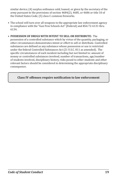similar device; (4) surplus ordinance sold, loaned, or given by the secretary of the army pursuant to the provisions of section 4684(2), 4685, or 4686 or title 10 of the United States Code; (5) class C common fireworks.

• The school will turn over all weapons to the appropriate law enforcement agency in compliance with the "Gun Free Schools Act" (Federal) and KSA 72-6131 thru 6134.

#### • **POSSESSION OF DRUGS WITH INTENT TO SELL OR DISTRIBUTE:** The

possession of a controlled substance which by virtue of the quantity, packaging, or other circumstances demonstrates intent or effort to sell or distribute. Controlled substances are defined as any substance whose possession or use is restricted under the federal Controlled Substances Act (21 U.S.C. 811 as amended). The specific circumstances of each incident including but not limited to: amount of money or controlled substances involved, number of transactions, age/number of students involved, disciplinary history, risks posed to other students and other relevant factors should be considered in determining the appropriate disciplinary consequence.

#### **Class IV offenses require notification to law enforcement**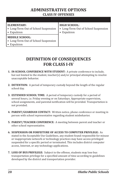# **ADMINISTRATIVE OPTIONS CLASS IV OFFENSES**

| ELEMENTARY:<br>• Long-Term Out of School Suspension<br>• Expulsion           | <b>HIGH SCHOOL:</b><br>• Long-Term Out of School Suspension<br>Expulsion |
|------------------------------------------------------------------------------|--------------------------------------------------------------------------|
| <b>MIDDLE SCHOOL:</b><br>• Long-Term Out of School Suspension<br>• Expulsion |                                                                          |

# **DEFINITION OF CONSEQUENCES FOR CLASS I-IV**

- **1. IN-SCHOOL CONFERENCE WITH STUDENT:** A private conference to include, but not limited to the student, teacher(s) and/or principal attempting to resolve unacceptable behavior.
- **2. DETENTION:** A period of temporary custody beyond the length of the regular school day.
- **3. EXTENDED SCHOOL TIME:** A period of temporary custody for a period of several hours, i.e. Friday evening or on Saturdays. Appropriate supervision, school assignments, and parental notification will be provided. Transportation is not provided.
- **4. PARENT/GUARDIAN CONTACT:** Written notice, phone conference or meeting in person with school representative regarding student misbehavior.
- **5. PARENT/TEACHER CONFERENCE:** A meeting between parent and teacher or other school representative.
- **6. SUSPENSION OR FORFEITURE OF ACCESS TO COMPUTER PRIVILEGE:** As stated in the Acceptable Use Guidelines, any student found responsible for misuse or inappropriate network or technology practices may have access privileged suspended for a specific period or terminated. This includes district computer access, Internet, or any technology applications.
- **7. LOSS OF BUS PRIVILEGE:** Subject to the offense, students may lose bus transportation privilege for a specified amount of time according to guidelines developed by the district and transportation provider.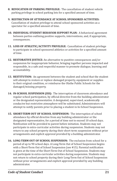- **8. REVOCATION OF PARKING PRIVILEGE:** The cancellation of student vehicle parking privilege in school parking lots for a specified amount of time.
- **9. RESTRICTION OF ATTENDANCE AT SCHOOL SPONSORED ACTIVITIES:**  Cancellation of student privilege to attend school sponsored activities as a spectator for a specified amount of time.
- **10. INDIVIDUAL STUDENT BEHAVIOR SUPPORT PLAN:** A behavioral agreement between parties outlining positive supports, interventions, and, if appropriate, consequences.
- **11. LOSS OF ATHLETIC/ACTIVITY PRIVILEGE:** Cancellation of student privilege to participate in school sponsored athletics or activities for a specified amount of time.
- **12. RESTORATIVE JUSTICE:** An alternative to punitive consequences and/or suspension for inappropriate behavior, bringing together persons impacted and responsible, in a safe and respectful manner to promote dialogue, learning and accountability.
- **13. RESTITUTION:** An agreement between the student and school that the student will attempt to restore or replace damaged property, equipment or supplies to their original condition, or reimburse the Olathe Public Schools for the damaged/missing property.
- **14. IN-SCHOOL SUSPENSION (ISS):** The interruption of classroom attendance and regular school participation, by official directive from the building administrator or the designated representative. A designated, supervised, academically conducive but restrictive atmosphere will be substituted. Administrators will attempt to notify parents prior to placing a student in In-School Suspension.
- **15. SHORT-TERM OUT OF SCHOOL SUSPENSION:** The interruption of school attendance by official directive from any building administrator or the designated representative, for a period of time not to exceed 10 school days. Notification will be provided to parent before initiation. Students may not participate in extra-curricular activities during suspension. Students may not return to any school property during their short-term suspension without prior arrangements and explicit approval provided by a building administrator.
- **16. LONG-TERM OUT OF SCHOOL SUSPENSION:** The exclusion from school for a period of up to 90 school days. A Long-Term Out of School Suspension begins with a Short-Term Out of School Suspension (see #15). Parental notification is given at the time of the Short-Term Out of School Suspension. Students may not participate in extra-curricular activities during suspension. Students may not return to school property during their Long-Term Out of School Suspension without prior arrangements and explicit approval provided by any building administrator.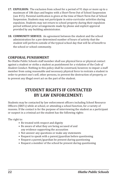- **17. EXPULSION:** The exclusion from school for a period of 91 days or more up to a maximum of 186 days and begins with a Short-Term Out of School Suspension (see #15). Parental notification is given at the time of Short-Term Out of School Suspension. Students may not participate in extra-curricular activities during expulsion. Students may not return to school property during their expulsion period without prior arrangements made by phone and explicit approval provided by any building administrator.
- **18. COMMUNITY SERVICE:** An agreement between the student and the school administration for a pre-determined number of hours of activity that the student will perform outside of the typical school day that will be of benefit to the school or school community.

### **CORPORAL PUNISHMENT**

No Olathe Public Schools staff member shall use physical force or physical contact against a student or strike a student as punishment for a violation of the *Code of Student Conduct*. Nothing in this policy shall be construed, however, to impair a staff member from using reasonable and necessary physical force to restrain a student in order to protect one's self, other persons, to prevent the destruction of property, or to prevent any illegal overt act on the part of the student.

# **STUDENT RIGHTS IF CONTACTED BY LAW ENFORCEMENT:**

Students may be contacted by law enforcement officers including School Resource Officers (SRO's) while at school, or attending a school function, for a variety of reasons. If the contact is for the purpose of interviewing the student as a participant or suspect in a criminal act the student has the following rights:

The right to:

- Be treated with respect and dignity
- Be aware of what they are being accused of and any evidence supporting the accusation
- Not answer any questions or make any statements
- Request to speak with a parent/guardian before questioning
- Request a parent/guardian be present during questioning
- Request a member of the school be present during questioning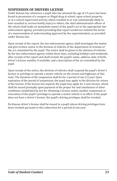## **SUSPENSION OF DRIVERS LICENSE**

Under Kansas law, whenever a pupil who has attained the age of 13 years has been found in possession of a weapon or illegal drug at school, upon school property, or at a school-supervised activity, which resulted in or was substantially likely to have resulted in, serious bodily injury to others, the chief administrative officer of the school shall make an immediate report of the pupil's act to the appropriate law enforcement agency, provided providing that report would not violated the terms of a memorandum of understanding approved by the superintendent, as provided under Kansas law.

Upon receipt of the report, the law enforcement agency shall investigate the matter and give written notice to the division of vehicles of the department of revenue of the act committed by the pupil. The notice shall be given to the division of vehicles by the law enforcement agency within three days, excluding holidays and weekends, after receipt of the report and shall include the pupil's name, address, date of birth, driver's license number, if available, and a description of the act committed by the pupil.

Upon receipt of the notice, the division of vehicles shall suspend the pupil's driver's license or privilege to operate a motor vehicle on the streets and highways of this state. The duration of the suspension shall be for a period of one (1) year. Upon expiration of the period of suspension, the pupil may apply to the division for return of the license. If the license has expired, the pupil may apply for a new license, which shall be issued promptly upon payment of the proper fee and satisfaction of other conditions established by law for obtaining a license unless another suspension or revocation of the pupil's privilege to operate a motor vehicle is in effect. If the pupil does not have a driver's license, the pupil's driving privileges shall be revoked.

No Kansas driver's license shall be issued to a pupil whose driving privileges have been revoked pursuant to this subsection for a period of one year.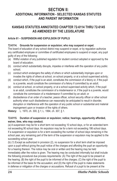# **SECTION II: ADDITIONAL INFORMATION - SELECTED KANSAS STATUTES AND PARENT INFORMATION**

## **KANSAS STATUTES ANNOTATED CHAPTER 72-6114 THRU 72-6145 AS AMENDED BY THE LEGISLATURE**

### **Article 61 – SUSPENSION AND EXPULSION OF PUPILS**

### **72-6114. Grounds for suspension or expulsion; who may suspend or expel.**

The board of education of any school district may suspend or expel, or by regulation authorize any certificated employee or committee of certificated employees to suspend or expel, any pupil guilty of any of the following:

- (a) Willful violation of any published regulation for student conduct adopted or approved by the board of education;
- (b) conduct which substantially disrupts, impedes or interferes with the operation of any public school;
- (c) conduct which endangers the safety of others or which substantially impinges upon or invades the rights of others at school, on school property, or at a school supervised activity;
- (d) conduct which, if the pupil is an adult, constitutes the commission of a felony or, if the pupil is a juvenile, would constitute the commission of a felony if committed by an adult;
- (e) conduct at school, on school property, or at a school supervised activity which, if the pupil is an adult, constitutes the commission of a misdemeanor or, if the pupil is a juvenile, would constitute the commission of a misdemeanor if committed by an adult; or
- (f) disobedience of an order of a teacher, peace officer, school security officer or other school authority when such disobedience can reasonably be anticipated to result in disorder, disruption or interference with the operation of any public school or substantial and material impingement upon or invasion of the rights of others.

**History:** L. 1970, ch. 300, § 1; L. 1994, ch. 307, § 1.

#### **72-6115. Duration of suspension or expulsion; notice; hearings, opportunity afforded, waiver, time, who may conduct.**

(a) A suspension may be for a short term not exceeding 10 school days, or for an extended term not exceeding 90 school days. An expulsion may be for a term not exceeding 186 school days. If a suspension or expulsion is for a term exceeding the number of school days remaining in the school year, any remaining part of the term of the suspension or expulsion may be applied to the succeeding school year.

(b) (1) Except as authorized in provision (2), no suspension for a short term shall be imposed upon a pupil without giving the pupil notice of the charges and affording the pupil an opportunity for a hearing thereon. The notice may be oral or written and the hearing may be held immediately after the notice is given. The hearing may be conducted informally but shall include the following procedural due process requirements: (A) The right of the pupil to be present at the hearing; (B) the right of the pupil to be informed of the charges; (C) the right of the pupil to be informed of the basis for the accusation; and (D) the right of the pupil to make statements in defense or mitigation of the charges or accusations. Refusal of a pupil to be present at the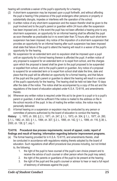hearing will constitute a waiver of the pupil's opportunity for a hearing.

- (2) A short-term suspension may be imposed upon a pupil forthwith, and without affording the pupil a hearing if the presence of the pupil endangers other persons or property or substantially disrupts, impedes or interferes with the operation of the school.
- (c) A written notice of any short-term suspension and the reason therefor shall be given to the pupil involved and to the pupil's parent or guardian within 24 hours after the suspension has been imposed and, in the event the pupil has not been afforded a hearing prior to any short-term suspension, an opportunity for an informal hearing shall be afforded the pupil as soon thereafter as practicable but in no event later than 72 hours after such short-term suspension has been imposed. Any notice of the imposition of a short-term suspension that provides an opportunity for an informal hearing after such suspension has been imposed shall state that failure of the pupil to attend the hearing will result in a waiver of the pupil's opportunity for the hearing.
- (d) No suspension for an extended term and no expulsion shall be imposed upon a pupil until an opportunity for a formal hearing thereon is afforded the pupil. A written notice of any proposal to suspend for an extended term or to expel from school, and the charges upon which the proposal is based shall be given to the pupil proposed to be suspended or expelled from school, and to the pupil's parent or guardian. Any notice of a proposal to suspend for an extended term or to expel from school shall state the time, date and place that the pupil will be afforded an opportunity for a formal hearing, and that failure of the pupil and the pupil's parent or guardian to attend the hearing will result in a waiver of the pupil's opportunity for the hearing. The hearing shall be held not later than 10 days after the date of the notice. The notice shall be accompanied by a copy of this act and the regulations of the board of education adopted under K.S.A. 72-6116, and amendments thereto.
- (e) Whenever any written notice is required under this act to be given to a pupil or to a pupil's parent or guardian, it shall be sufficient if the notice is mailed to the address on file in the school records of the pupil. In lieu of mailing the written notice, the notice may be personally delivered.
- (f) A formal hearing on a suspension or expulsion may be conducted by any person or committee of persons authorized by the board of education to conduct the hearing.

**History:** L. 1970, ch. 300, § 2; L. 1971, ch. 247, § 1; L. 1973, ch. 304, § 1; L. 1977, ch. 260, § 1; L. 1982, ch. 303, § 1; L. 1994, ch. 307, § 2; L. 1995, ch. 142, § 1; L. 1999, ch. 116, § 38; L. 2000, ch. 138, § 7; July 1.

#### **72-6116. Procedural due process requirements; record of appeal, costs; report of findings and result of hearing; information regarding behavior improvement programs.**

- (a) The formal hearing provided for in K.S.A. 72-6115, and amendments thereto, shall be conducted in accordance with regulations relating thereto adopted by the board of education. Such regulations shall afford procedural due process including, but not limited to, the following:
	- 1. the right of the pupil to have counsel of the pupil's own choice present and to receive the advice of such counsel or other person whom the pupil may select;
	- 2. the right of the parents or guardians of the pupil to be present at the hearing;
	- 3. the right of the pupil and the pupil's counsel or advisor to hear or read a full report of testimony of witnesses against the pupil;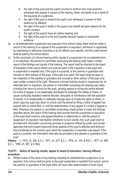- 4. the right of the pupil and the pupil's counsel to confront and cross-examine witnesses who appear in person at the hearing, either voluntarily or as a result of the issuance of a subpoena;
- 5. the right of the pupil to present the pupil's own witnesses in person or their testimony by affidavit;
- 6. the right of the pupil to testify in the pupil's own behalf and give reasons for the pupil's conduct;
- 7. the right of the pupil to have an orderly hearing; and
- 8. the right of the pupil to a fair and impartial decision based on substantial evidence.
- (b) In all extended-term suspension and expulsion from school cases, there shall be made a record of the hearing of an appeal of the suspension or expulsion, whichever is applicable, by mechanical or electronic recording or by an official court reporter, and the costs thereof shall be paid by the school district.
- (c) At the conclusion of a formal hearing which results in a suspension for an extended term or an expulsion, the person or committee conducting the hearing shall make a written report of the findings and results of the hearing. The report shall be directed to the board of education of the school district and shall be open to the inspection of the pupil who is suspended or expelled and, if the pupil is a juvenile, to the parents or guardians and counsel or other advisor of the pupil. If the pupil is an adult, the report shall be open to the inspection of the parents or guardians and counsel or other advisor of the pupil only upon written consent of the pupil. Whenever a formal hearing results in suspension for an extended term or expulsion, the person or committee conducting the hearing may make a finding that return to school by the pupil, pending appeal or during the period allowed for notice of appeal, is not reasonably anticipated to endanger the safety of others, to cause continuing repeated material disorder, disruption or interference with the operation of school, or to substantially or materially impinge upon or invade the rights of others, in which case the pupil may return to school until the period for filing a notice of appeal has expired with no notice filed, or until the determination of any appeal if a notice of appeal is filed. Whenever the person or committee conducting a hearing fails to make the findings specified above, the report of the hearing shall provide that the suspension or expulsion of the pupil shall continue until appeal therefrom is determined or until the period of suspension or expulsion has expired, whichever occurs sooner. Any such pupil shall be provided with information concerning services or programs offered by public and private agencies that work toward improving those aspects of the pupil's attitudes and behavior that contributed to the conduct upon which the suspension or expulsion was based. If the pupil is a juvenile, the information shall also be provided to the parents or guardians of the pupil.

**History:** L. 1970, ch. 300, § 3; L. 1971, ch. 247, § 2; L. 1976, ch. 145, § 232; L. 1977, ch. 260, § 2; L. 1994, ch. 307, § 3; May

#### **72-6117. Notice of hearing results; appeal to board of education; hearing officers; procedure.**

a) Written notice of the result of any hearing imposing an extended-term suspension or an expulsion from school shall be given to the pupil suspended or expelled from school, and to the parents or guardians of the pupil within 24 hours after determination of such result.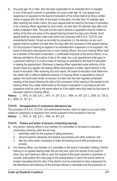- b) Any pupil age 18 or older, who has been suspended for an extended term or expelled, or one of the pupil's parents or guardians of a pupil under age 18, may appeal such suspension or expulsion to the board of education of the school district by filing a written notice of appeal with the clerk of the board of education not later than 10 calendar days after receiving the written notice. Any such appeal shall be heard by the board of education, or by a hearing officer appointed by such board, not later than 20 calendar days after such notice of appeal is filed. The pupil and the pupil's parents or guardians shall be notified in writing of the time and place of the appeal hearing at least five days prior thereto. Such appeal shall be conducted under rules which are consonant with K.S.A. 72-6116, and amendments thereto. Except as provided by subsection (c), the decision on any such appeal shall be rendered not later than five days after the conclusion of the appeal hearing.
- c) For the purpose of hearing an appeal of an extended-term suspension or an expulsion, the board of education may appoint one or more hearing officers. Any such hearing officer shall be a member of the board of education, a certificated employee of the school district, or an attorney admitted to the practice of law in this state. Any such appointment shall apply to a particular hearing or to a set or class of hearings as specified by the board of education in making the appointment. Whenever a hearing officer appointed under authority of this section hears any appeal, the hearing officer shall prepare a written report thereon to the board of education. After receiving any such report, the board of education shall determine the matter with or without additional hearing. If a hearing officer is appointed to hear an appeal, the board shall render its decision not later than the next regularly-scheduled meeting of the board following the date of the conclusion of the hearing of the appeal by the hearing officer. Any matter determined by the board of education in accordance with this subsection shall be valid to the same extent as if the matter were fully heard by the board of education without a hearing officer.

**History:** L. 1970, ch. 300, § 4; L. 1971, ch. 247, § 3; L. 1994, ch. 307, § 4; L. 2000, ch. 138, § 8; L. 2006, ch. 167, § 1.

#### **72-6118. Nonapplication of compulsory attendance law.**

The provisions of K.S.A. 72-3120, and amendments thereto, shall not apply to any pupil while subject to suspension or expulsion from school pursuant to the provisions of this act. **History:** L. 1970, ch. 300, § 5; L. 1994, ch. 307, § 6.

#### **72-6119. Powers and duties of persons conducting hearings.**

- a) Any person, hearing officer or any member of a committee or the board of education conducting a hearing under this act may:
	- 1. administer oaths for the purpose of taking testimony;
	- 2. call and examine witnesses and receive documentary and other evidence; and
	- 3. take any other action necessary to make the hearing accord with procedural due process.
- b) Any hearing officer, any member of a committee or the board of education holding a formal hearing or an appeal hearing under this act may and, upon the request of any pupil for whom any such hearing is held or upon the request of the pupil's parents or guardians or counsel, shall petition the chief judge of the judicial district in which the school district is located requesting that the clerk of the district court be authorized to issue subpoenas for the attendance and testimony of the principal witness or witnesses and the production of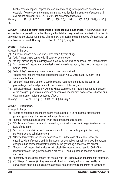books, records, reports, papers and documents relating to the proposed suspension or expulsion from school in the same manner as provided for the issuance of subpoenas in civil actions pursuant to K.S.A. 60-245, and amendments thereto.

**History:** L. 1971, ch. 247, § 4; L. 1977, ch. 260, § 3; L. 1994, ch. 307, § 7; L. 1999, ch. 57, § 66.

**72-6120. Refusal to admit suspended or expelled pupil authorized.** A pupil who has been suspended or expelled from school by any school district may be refused admission to school in any other school district, regardless of residency, until such time as the period of suspension or expulsion has expired. **History**: L. 1994, ch. 307, § 5; May 12.

### **72-6121. Definitions.**

As used in this act:

- (a) "Juvenile" means a person who is less than 18 years of age;
- (b) "adult" means a person who is 18 years of age or older;
- (c) "felony" means any crime designated a felony by the laws of Kansas or the United States;
- (d) "misdemeanor" means any crime designated a misdemeanor by the laws of Kansas or the United States;
- (e) "school day" means any day on which school is maintained;
- (f) "school year" has the meaning ascribed thereto in K.S.A. 2016 Supp. 72-6464, and amendments thereto;
- (g) "counsel" means any person a pupil selects to represent and advise the pupil at all proceedings conducted pursuant to the provisions of this act; and
- (h) "principal witness" means any witness whose testimony is of major importance in support of the charges upon which a proposed suspension or expulsion from school is based, or in determination of material questions of fact.

**History:** L. 1994, ch. 307, § 8; L. 2015, ch. 4, § 64; July 1.

### **72-6131. Definitions.**

As used in this act:

- (a) "Board of education" means the board of education of a unified school district or the governing authority of an accredited nonpublic school.
- (b) "School" means a public school or an accredited nonpublic school.
- (c) "Public school" means a school operated by a unified school district organized under the laws of this state.
- (d) "Accredited nonpublic school" means a nonpublic school participating in the quality performance accreditation system.
- (e) "Chief administrative officer of a school" means, in the case of a public school, the superintendent of schools and, in the case of an accredited nonpublic school, the person designated as chief administrative officer by the governing authority of the school.
- (f) "Federal law" means the individuals with disabilities education act, section 504 of the rehabilitation act, the gun-free schools act of 1994, and regulations adopted pursuant to such acts.
- (g) "Secretary of education" means the secretary of the United States department of education.
- (h) (1) "Weapon" means: (A) Any weapon which will or is designed to or may readily be converted to expel a projectile by the action of an explosive; (B) the frame or receiver of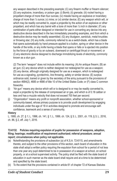any weapon described in the preceding example; (C) any firearm muffler or firearm silencer; (D) any explosive, incendiary, or poison gas: (i) Bomb; (ii) grenade; (iii) rocket having a propellant charge of more than four ounces; (iv) missile having an explosive or incendiary charge of more than ¼ ounce; (v) mine; or (vi) similar device; (E) any weapon which will, or which may be readily converted to, expel a projectile by the action of an explosive or other propellant, and which has any barrel with a bore of more than ½ inch in diameter; (F) any combination of parts either designed or intended for use in converting any device into any destructive device described in the two immediately preceding examples, and from which a destructive device may be readily assembled; (G) any bludgeon, sandclub, metal knuckles or throwing star; (H) any knife, commonly referred to as a switch-blade, which has a blade that opens automatically by hand pressure applied to a button, spring or other device in the handle of the knife, or any knife having a blade that opens or falls or is ejected into position by the force of gravity or by an outward, downward or centrifugal thrust or movement; or (I) any electronic device designed to discharge immobilizing levels of electricity, commonly known as a stun gun.

(2) The term "weapon" does not include within its meaning: (A) An antique firearm; (B) an air gun; (C) any device which is neither designed nor redesigned for use as a weapon; (D) any device, although originally designed for use as a weapon, which is redesigned for use as a signaling, pyrotechnic, line throwing, safety or similar device; (E) surplus ordinance sold, loaned or given by the secretary of the army pursuant to the provisions of section 4684(2), 4685 or 4686 of title 10 of the United States Code; or (F) class C common fireworks.

- (i) "Air gun" means any device which will or is designed to or may be readily converted to, expel a projectile by the release of compressed air or gas, and which is of 0.18 caliber or less and has a muzzle velocity that does not exceed 700 feet per second.
- (j) "Organization" means any profit or nonprofit association, whether school-sponsored or community-based, whose primary purpose is to provide youth development by engaging individuals under the age of 18 in activities designed to promote and encourage selfconfidence, teamwork and a sense of community.

#### **History**

L. 1995, ch. 27, § 1; L. 1996, ch. 141, § 1; L. 1999, ch. 124, § 3; L. 2001, ch. 119, § 3; L. 2016, ch. 86, § 2, eff. July 1, 2016.

#### **72-6132. Policies requiring expulsion of pupils for possession of weapons, adoption, filing; hearings; modification of requirement authorized; referral procedure; annual report; circumstances when policy not applicable.**

- (a) Notwithstanding the provisions of subsection (a) of K.S.A. 72-6115, and amendments thereto, and subject to the other provisions of this section, each board of education in this state shall adopt a written policy requiring the expulsion from school for a period of not less than one year any pupil determined to be in possession of a weapon at school, on school property, or at a school supervised activity. The policy shall be filed with the state board of education in such manner as the state board shall require and at a time to be determined and specified by the state board.
- (b) To the extent that the provisions contained in article 61 of chapter 72 of Kansas Statutes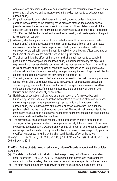Annotated, and amendments thereto, do not conflict with the requirements of this act, such provisions shall apply to and be incorporated in the policy required to be adopted under subsection (a).

- (c) If a pupil required to be expelled pursuant to a policy adopted under subsection (a) is confined in the custody of the secretary for children and families, the commissioner of juvenile justice or the secretary of corrections as a result of the violation upon which the expulsion is to be based, the hearing required under the provisions of article 61 of chapter 72 of Kansas Statutes Annotated, and amendments thereto, shall be delayed until the pupil is released from custody.
- (d) A hearing afforded a pupil required to be expelled pursuant to a policy adopted under subsection (a) shall be conducted by the chief administrative officer or other certificated employee of the school in which the pupil is enrolled, by any committee of certificated employees of the school in which the pupil is enrolled, or by a hearing officer appointed by the board of education of the school in which the pupil is enrolled.
- (e) The chief administrative officer of the school in which a pupil required to be expelled pursuant to a policy adopted under subsection (a) is enrolled may modify the expulsion requirement in a manner which is consistent with the requirements of federal law. Nothing in this subsection shall be applied or construed in any manner so as to require the chief administrative officer of a school to modify the expulsion requirement of a policy adopted by a board of education pursuant to the provisions of subsection (a).
- (f) The policy adopted by a board of education under subsection (a) shall contain a procedure for the referral of any pupil determined to be in possession of a weapon at school, on school property, or at a school supervised activity to the appropriate state and local law enforcement agencies and, if the pupil is a juvenile, to the secretary for children and families or the commissioner of juvenile justice.
- (g) Each board of education shall prepare an annual report on a form prescribed and furnished by the state board of education that contains a description of the circumstances surrounding any expulsions imposed on pupils pursuant to a policy adopted under subsection (a), including the name of the school or schools concerned, the number of pupils expelled, and the type of weapons concerned. The report shall be submitted to the state board of education in such manner as the state board shall require and at a time to be determined and specified by the state board.
- (h) The provisions of this section do not apply to the possession by pupils of weapons at school, on school property, or at a school supervised activity if the possession of weapons by pupils is connected with a weapons safety course of instruction or a weapons education course approved and authorized by the school or if the possession of weapons by pupils is specifically authorized in writing by the chief administrative officer of the school.

**History:** L. 1995, ch. 27, § 2; L. 1996, ch. 141, § 2; L. 1997, ch. 156, § 85; L. 2014, ch. 115, § 296; eff. July 1, 2014.

#### **72-6133. Duties of state board of education; failure of boards to adopt and file policies, penalties.**

- (a) The state board of education shall compile the reports required of boards of education under subsection (f) of K.S.A. 72-6132, and amendments thereto, and shall submit the compilation to the secretary of education on an annual basis as specified by the secretary.
- (b) The state board of education shall provide boards of education with assistance in the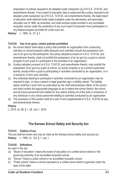preparation of policies required to be adopted under subsection (a) of K.S.A. 72-6132, and amendments thereto. If any board of education fails to adopt and file a policy required to be adopted under subsection (a) of K.S.A. 72-6132, and amendments thereto, the state board of education shall withhold funds made available under the elementary and secondary education act of 1965, as amended, and shall exclude pupils enrolled in any accredited nonpublic school under the jurisdiction of any such board of education from participation in any federal program provided for under such act.

**History:** L. 1995, ch. 27, § 3.

#### **72-6134. Use of air guns; certain policies prohibited**

- (a) No school district shall adopt a policy that prohibits an organization from conducting activities on school property solely because such activities include the possession and use of air guns by the participants. Any policy adopted pursuant to K.S.A. 72-6132, and amendments thereto, shall not prohibit the possession of an air gun by a pupil on school property if such pupil is a participant in the activities of an organization.
- (b) A policy adopted pursuant to K.S.A. 72-6132, and amendments thereto, may prohibit the possession of air guns by pupils at school, on school property or at a school supervised activity, except when a pupil is participating in activities conducted by an organization, or is in transit to or from such activities.
- (c) Any individual desiring to participate in activities conducted by an organization may be required to sign, or have a parent or legal guardian sign, a liability waiver. The liability waiver shall be in such form as prescribed by the chief administrative officer of the school and shall contain the appropriate language so as to relieve the school district, the school and all school personnel from liability for any claims arising out of the acts or omissions of any individual or any school personnel relating to activities conducted by an organization.
- (d) The provisions of this section shall be a part of and supplemental to K.S.A. 72-6132 et seq., and amendments thereto.

#### **History**

L. 2016, ch. 86, § 1, eff. July 1, 2016.

# **The Kansas School Safety and Security Act**

#### **72-6141. Citation of act.**

This act shall be known and may be cited as the Kansas school safety and security act. **History:** L. 1995, ch. 123, § 1; July 1.

#### **72-6142. Definitions.**

As used in this act:

- (a) "Board of education" means the board of education of a unified school district or the governing authority of an accredited nonpublic school.
- (b) "School" means a public school or an accredited nonpublic school.
- (c) "Public school" means a school operated by a unified school district organized under the laws of this state.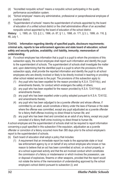- (d) "Accredited nonpublic school" means a nonpublic school participating in the quality performance accreditation system.
- (e) "School employee" means any administrative, professional or paraprofessional employee of a school district.
- (f) "Superintendent of schools" means the superintendent of schools appointed by the board of education of a unified school district or the chief administrative officer of an accredited nonpublic school appointed by the board of education of the school district.

**History:** L. 1995, ch. 123, § 2; L. 1996, ch. 87, § 1; L. 1998, ch. 171, § 3; L. 1999, ch. 116, § 46; July 1.

#### **72-6143. Information regarding identity of specified pupils, disclosure requirements; criminal acts, reports to law enforcement agencies and state board of education; school safety and security policies, availability; civil liability, immunity; memorandum of understanding.**

- (a) If a school employee has information that a pupil is a pupil to whom the provisions of this subsection apply, the school employee shall report such information and identify the pupil to the superintendent of schools. The superintendent of schools shall investigate the matter and, upon determining that the identified pupil is a pupil to whom the provisions of this subsection apply, shall provide the reported information and identify the pupil to all school employees who are directly involved or likely to be directly involved in teaching or providing other school related services to the pupil. The provisions of this subsection apply to:
	- (1) Any pupil who has been expelled for the reason provided by K.S.A. 72-6114(c), and amendments thereto, for conduct which endangers the safety of others;
	- (2) any pupil who has been expelled for the reason provided by K.S.A. 72-6114(d), and amendments thereto;
	- (3) any pupil who has been expelled under a policy adopted pursuant to K.S.A. 72-6132, and amendments thereto;
	- (4) any pupil who has been adjudged to be a juvenile offender and whose offense, if committed by an adult, would constitute a felony under the laws of Kansas or the state where the offense was committed, except any pupil adjudicated as a juvenile offender for a felony theft offense involving no direct threat to human life; and
	- (5) any pupil who has been tried and convicted as an adult of any felony, except any pupil convicted of a felony theft crime involving no direct threat to human life.

A school employee and the superintendent of schools shall not be required to report information concerning a pupil specified in this subsection if the expulsion, adjudication as a juvenile offender or conviction of a felony occurred more than 365 days prior to the school employee's report to the superintendent of schools.

- (b) Each board of education shall adopt a policy that includes:
	- (1) A requirement that an immediate report be made to the appropriate state or local law enforcement agency by or on behalf of any school employee who knows or has reason to believe that an act has been committed at school, on school property, or at a school supervised activity and that the act involved conduct which constitutes the commission of a felony or misdemeanor or which involves the possession, use or disposal of explosives, firearms or other weapons, provided that the report would not violate the terms of the memorandum of understanding approved by the school employee's school district pursuant to subsection (i); and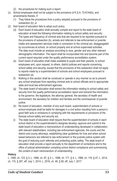- (2) the procedures for making such a report.
- (c) School employees shall not be subject to the provisions of K.S.A. 72-6144(b), and amendments thereto, if:
	- (1) They follow the procedures from a policy adopted pursuant to the provisions of subsection (b); or
- (2) their board of education fails to adopt such policy.
	- (d) Each board of education shall annually compile and report to the state board of education at least the following information relating to school safety and security: The types and frequency of criminal acts that are required to be reported pursuant to the provisions of subsection (b), arrests and referrals to law enforcement or juvenile intake and assessment services made in connection to the criminal act, disaggregated by occurrences at school, on school property and at school supervised activities. The data must include an analysis according to race, gender and any other relevant demographic information. The report shall be incorporated into and become part of the current report required under the quality performance accreditation system.
	- (e) Each board of education shall make available to pupils and their parents, to school employees and, upon request, to others, district policies and reports concerning school safety and security, except that the provisions of this subsection shall not apply to reports made by a superintendent of schools and school employees pursuant to subsection (a).
	- (f) Nothing in this section shall be construed or operate in any manner so as to prevent any school employee from reporting criminal acts to school officials and to appropriate state and local law enforcement agencies.
	- (g) The state board of education shall extract the information relating to school safety and security from the quality performance accreditation report and transmit the information to the governor, the legislature, the attorney general, the secretary of health and environment, the secretary for children and families and the commissioner of juvenile justice.
	- (h) No board of education, member of any such board, superintendent of schools or school employee shall be liable for damages in a civil action resulting from a person's good faith acts or omissions in complying with the requirements or provisions of the Kansas school safety and security act.
	- (i) The state board of education shall require that the superintendent of schools in each school district or the superintendent's designee develop, approve and submit to the state board of education a memorandum of understanding developed in collaboration with relevant stakeholders, including law enforcement agencies, the courts and the district and county attorneys, establishing clear guidelines for how and when schoolbased behaviors are referred to law enforcement or the juvenile justice system with the goal of reducing such referrals and protecting public safety. The state board of education shall provide a report annually to the department of corrections and to the office of judicial administration compiling school district compliance and summarizing the content of each memorandum of understanding.

#### **History**

L. 1995, ch. 123, § 3; L. 1996, ch. 87, § 2; L. 1998, ch. 171, § 4; L. 1999, ch. 116, § 47; L. 2014, ch. 115, § 297, eff. July 1, 2014; L. 2016, ch. 46, § 58, eff. July 1, 2017.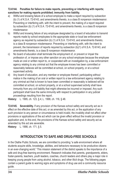#### **72-6144. Penalties for failure to make reports, preventing or interfering with reports; sanctions for making reports prohibited; immunity from liability.**

- a) Willful and knowing failure of a school employee to make a report required by subsection (b) (1) of K.S.A. 72-6143, and amendments thereto, is a class B nonperson misdemeanor. Preventing or interfering with, with the intent to prevent, the making of a report required by subsection (b) (1) of K.S.A. 72-6143, and amendments thereto, is a class B nonperson misdemeanor.
- b) Willful and knowing failure of any employee designated by a board of education to transmit reports made by school employees to the appropriate state or local law enforcement agency as required by subsection (b) (1) of K.S.A. 72-6143, and amendments thereto, is a class B nonperson misdemeanor. Preventing or interfering with, with the intent to prevent, the transmission of reports required by subsection (b)(1) of K.S.A. 72-6143, and amendments thereto, is a class B nonperson misdemeanor.
- c) No board of education shall terminate the employment of, or prevent or impair the profession of, or impose any other sanction on any school employee because the employee made an oral or written report to, or cooperated with an investigation by, a law enforcement agency relating to any criminal act that the employee knows has been committed or reasonably believes will be committed at school, on school property, or at a school supervised activity.
- d) Any board of education, and any member or employee thereof, participating without malice in the making of an oral or written report to a law enforcement agency relating to any criminal act that is known to have been committed or reasonably is believed will be committed at school, on school property, or at a school supervised activity shall have immunity from any civil liability that might otherwise be incurred or imposed. Any such participant shall have the same immunity with respect to participation in any judicial proceedings resulting from the report.

**History:** L. 1995, ch. 123, § 4; L. 1999, ch. 116, § 48.

**72-6145. Severability.** If any provision of the Kansas school safety and security act as in effect on the effective date of this act, or as amended by this act, or the application of any such provision to any person or circumstance is held invalid, the invalidity shall not affect other provisions or applications of the act which can be given effect without the invalid provision or application and, to this end, the provisions of the Kansas school safety and security act as amended by this act are severable.

**History:** L. 1998, ch. 171, § 5.

# **INTRODUCTION TO SAFE AND DRUG-FREE SCHOOLS**

In the Olathe Public Schools, we are committed to providing "a safe environment where all students acquire skills, knowledge, abilities, and behaviors necessary to be productive citizens in an ever-changing world." This mission statement of the district speaks to the importance of a safe and drug-free learning environment. Research indicates that parents, grandparents, elders, foster-parents, teachers, youth leaders, coaches, church leaders and others play a major role in keeping young people from using alcohol, tobacco, and other illicit drugs. The following pages contain a parent guide to warning signs and symptoms of drug use and a community resource guide.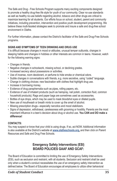The Safe and Drug - Free Schools Program supports many exciting components designed to promote a healthy drug-free life style for youth of our community. Clear no-use standards as well as healthy no-use beliefs regarding alcohol, tobacco and other drugs are critical to maximize learning for all students. Our efforts focus on school, student, parent and community initiatives, including prevention, intervention and positive youth development programming. We believe these multi-faceted strategies seek to promote and insure a safe and drug-free school environment in Olathe.

For further information, please contact the District's facilitator of the Safe and Drug-Free Schools programs.

### **SIGNS AND SYMPTOMS OF TEEN DRINKING AND DRUG USE**

It is difficult because changes in mood or attitudes, unusual temper outbursts, changes in sleeping habits and changes in hobbies or other interests are common in teens. However, watch for the following warning signs:

- Changes in friends.
- Negative changes in schoolwork, missing school, or declining grades.
- Increased secrecy about possessions or activities.
- Use of incense, room deodorant, or perfume to hide smoke or chemical odors.
- Subtle changes in conversations with friends, e.g. more secretive, using "coded" language.
- Change in clothing choices: new fascination with clothes that highlight drug use.
- Increase in borrowing money.
- Evidence of drug paraphernalia such as pipes, rolling papers, etc.
- Evidence of use of inhalant products (such as hairspray, nail polish, correction fluid, common household products); Rags and paper bags are sometimes used as accessories.
- Bottles of eye drops, which may be used to mask bloodshot eyes or dilated pupils.
- New use of mouthwash or breath mints to cover up the smell of alcohol.
- Missing prescription drugs—especially narcotics and mood stabilizers.
- Signs of depression, withdrawal, carelessness with grooming or hostility. Parents are the most important influence in a teen's decision about drug or alcohol use. **You CAN and DO make a difference!**

### **CONTACTS:**

You may suspect or know that your child is using drugs. If so, act NOW. Additional information is also available at the District's website at **[www.olatheschools.org,](http://www.olatheschools.org)** and then click on Parent Resources and Safe and Drug Free Schools.

# **Emergency Safety Interventions (ESI) BOARD POLICIES GAAF AND GCAF:**

The Board of Education is committed to limiting the use of Emergency Safety Interventions (ESI), such as seclusion and restraint, with all students. Seclusion and restraint shall be used only when a student's conduct necessitates the use of an emergency safety intervention as defined below. The Board of Education encourages all employees to utilize other behavioral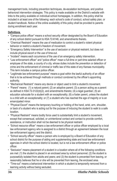management tools, including prevention techniques, de-escalation techniques, and positive behavioral intervention strategies. This policy is made available on the District's website with links to the policy available on individual school homepages. In addition, this policy shall be included in at least one of the following: each school's code of conduct, school safety plan, or student handbook. Notice of the online availability of this policy shall be provided to parents during enrollment each year.

### **Definitions**

- "Campus police officer" means a school security officer designated by the Board of Education of any school district pursuant to KSA 72-6146, and amendments thereto.
- "Chemical Restraint" means the use of medication to control a student's violent physical behavior or restrict a student's freedom of movement.
- "Emergency Safety Intervention" is the use of seclusion or physical restraint, but does not include physical escort or the use of time-out.
- "Incident" means each occurrence of the use of an emergency safety intervention.
- "Law enforcement officer" and "police officer" mean a full-time or part-time salaried officer or employee of the state, a county of a city, whose duties include the prevention or detection of crime and the enforcement of criminal or traffic law of this state of any Kansas municipality. This term includes a campus police officer.
- "Legitimate law enforcement purpose" means a goal within the lawful authority of an officer that is to be achieved through methods or conduct condoned by the officer's appointing authority.
- "Mechanical Restraint" means any device or object used to limit a student's movement.
- "Parent" means: (1) a natural parent; (2) an adoptive parent; (3) a person acting as a parent as defined in KSA 72-3122(d)(2), and amendments thereto; (4) a legal guardian; (5) an education advocate for a student with an exceptionality; (6) a foster parent, unless the student is a child with an exceptionality; or (7) a student who has reached the age of majority or is an emancipated minor.
- "Physical Escort" means the temporary touching or holding of the hand, wrist, arm, shoulder, or back of a student who is acting out for the purpose of inducing the student to walk to a safe location.
- "Physical Restraint" means bodily force used to substantially limit a student's movement, except that consensual, solicited, or unintentional contact and contact to provide comfort, assistance, or instruction shall not be deemed to be physical restraint.
- "School resource officer" means a law enforcement officer or police officer employed by a local law enforcement agency who is assigned to a district through an agreement between the local law enforcement agency and the district.
- "School security officer" means a person who is employed by a Board of Education of any school district for the purpose of aiding and supplementing state and local law enforcement agencies in which the school district is located, but is not a law enforcement officer or police officer.
- "Seclusion" means placement of a student in a location where all of the following conditions are met: (1) the student is placed in an enclosed area by school personnel; (2) the student is purposefully isolated from adults and peers; and (3) the student is prevented from leaving, or reasonably believes that he or she will be prevented from leaving, the enclosed area.
- "Time-out" means a behavioral intervention in which a student is temporarily removed from a learning activity without being secluded.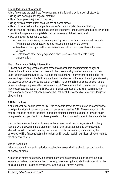#### **Prohibited Types of Restraint**

All staff members are prohibited from engaging in the following actions with all students:

- Using face-down (prone) physical restraint;
- Using face-up (supine) physical restraint;
- Using physical restraint that obstructs the student's airway;
- Using physical restraint that impacts a student's primary mode of communication;
- Using chemical restraint, except as prescribed treatments for a student's medical or psychiatric condition by a person appropriately licensed to issue such treatments; and
- Use of mechanical restraint, except:
	- o Protective or stabilizing devices required by law or used in accordance with an order from a person appropriately licensed to issue the order for the device;
	- o Any device used by a certified law enforcement officer to carry out law enforcement duties; or
	- o Seatbelts and other safety equipment when used to secure students during transportation.

### **Use of Emergency Safety Interventions**

ESI shall be used only when a student presents a reasonable and immediate danger of physical harm to such student or others with the present ability to effect such physical harm. Less restrictive alternatives to ESI, such as positive behavior interventions support, shall be deemed inappropriate or ineffective under the circumstances by the school employee witnessing the student's behavior prior to the use of any ESI. The use of ESI shall cease as soon as the immediate danger of physical harm ceases to exist. Violent action that is destructive of property may necessitate the use of an ESI. Use of an ESI for purposes of discipline, punishment, or for the convenience of a school employee shall not meet the standard of immediate danger of physical harm.

#### **ESI Restrictions**

A student shall not be subjected to ESI if the student is known to have a medical condition that could put the student in mental or physical danger as a result of ESI. The existence of such medical condition must be indicated in a written statement from the student's licensed health care provider, a copy of which has been provided to the school and placed in the student's file.

Such written statement shall include an explanation of the student's diagnosis, a list of any reasons why ESI would put the student in mental or physical danger, and any suggested alternatives to ESI. Notwithstanding the provisions of this subsection, a student may be subjected to ESI, if not subjecting the student to ESI would result in significant physical harm to the student or others.

### **Use of Seclusion**

When a student is placed in seclusion, a school employee shall be able to see and hear the student at all times.

All seclusion rooms equipped with a locking door shall be designed to ensure that the lock automatically disengages when the school employee viewing the student walks away from the seclusion room, or in case of emergency, such as fire or severe weather.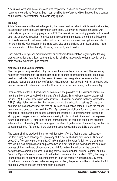A seclusion room shall be a safe place with proportional and similar characteristics as other rooms where students frequent. Such room shall be free of any condition that could be a danger to the student, well-ventilated, and sufficiently lighted.

### **Training**

All staff members shall be trained regarding the use of positive behavioral intervention strategies, de-escalation techniques, and prevention techniques. Such training shall be consistent with nationally recognized training programs on ESI. The intensity of the training provided will depend upon the employee's position. Administrators, licensed staff members, and other staff deemed most likely to need to restrain a student will be provided more intense training than staff who do not work directly with students in the classroom. District and building administration shall make the determination of the intensity of training required by each position.

Each school building shall maintain written or electronic documentation regarding the training that was provided and a list of participants, which shall be made available for inspection by the state board of education upon request.

### **Notification and Documentation**

The principal or designee shall notify the parent the same day as an incident. The same-day notification requirement of this subsection shall be deemed satisfied if the school attempts at least two methods of contacting the parent. A parent may designate a preferred method of contact to receive the same-day notification. Also, a parent may agree, in writing, to receive only one same-day notification from the school for multiple incidents occurring on the same day.

Documentation of the ESI used shall be completed and provided to the student's parents no later than the school day following the day of the incident. Such written documentation shall include: (A) the events leading up to the incident; (B) student behaviors that necessitated the ESI; (C) steps taken to transition the student back into the educational setting; (D) the date and time the incident occurred, the type of ESI used, the duration of the ESI, and the school personnel who used or supervised the ESI; (E) space of an additional form for parents to provide feedback or comments to the school regarding the incident; (F) a statement that invites and strongly encourages parents to schedule a meeting to discuss the incident and how to prevent future incidents; and (G) email and phone information for the parent to contact the school to schedule the ESI meeting. Schools may group incidents together when documenting the items in subparagraphs (A), (B) and (C) if the triggering issue necessitating the ESIs is the same.

The parent shall be provided the following information after the first and each subsequent incident during each school year: (1) a copy of this policy which indicates when ESI can be used; (2) a flyer on the parent's rights; (3) information on the parent's right to file a complaint through the local dispute resolution process (which is set forth in this policy) and the complaint process of the state board of education; and (4) information that will assist the parent in navigating the complaint process, including contact information for Families Together and the Disability Rights Center of Kansas. Upon the first occurrence of an incident of ESI, the foregoing information shall be provided in printed form or, upon the parent's written request, by email. Upon the occurrence of a second or subsequent incident, the parent shall be provided with a full and direct website address containing such information.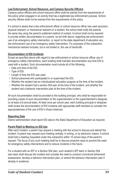#### **Law Enforcement, School Resource, and Campus Security Officers**

Campus police officers and school resource offers shall be exempt from the requirements of this policy when engaged in an activity that has a legitimate law enforcement purpose. School security officers shall not be exempt from the requirements of this policy.

If a school is aware that a law enforcement officer or school resource officer has used seclusion, physical restraint, or mechanical restraint on a student, the school shall notify the parents the same day using the parent's preferred method of contact. A school shall not be required to provide written documentation to a parent, as set forth above, regarding law enforcement use of an emergency safety intervention, or report to the state department of education any law enforcement use of an emergency safety intervention. For purposes of this subsection, mechanical restraint includes, but is not limited to, the use of handcuffs.

### **Documentation of ESI Incidents**

Except as specified above with regard to law enforcement or school resource officer use of emergency safety interventions, each building shall maintain documentation any time ESI is used with a student. Such documentation must include all of the following:

- Date and time of the ESI,
- Type of ESI,
- Length of time the ESI was used,
- School personnel who participated in or supervised the ESI,
- Whether the student had an individualized education program at the time of the incident,
- Whether the student had a section 504 plan at the time of the incident, and whether the student had a behavior intervention plan at the time of the incident.

All such documentation shall be provided to the building principal, who shall be responsible for providing copies of such documentation to the superintendent or the superintendent's designee on at least a bi-annual basis. At least once per school year, each building principal or designee shall review the documentation of ESI incidents with appropriate staff members to consider the appropriateness of the use of ESI in those instances.

#### **Reporting Data**

District administration shall report ESI data to the State Department of Education as required.

#### **Parent Right to Meeting on ESI Use**

After each incident, a parent may request a meeting with the school to discuss and debrief the incident. A parent may request such meeting verbally, in writing, or by electronic means. A school shall hold a meeting requested under this subsection within 10 school days of the parent's request. The focus of any such meeting shall be to discuss proactive ways to prevent the need for emergency safety interventions and to reduce incidents in the future.

For a student with an IEP or a Section 504 plan, such student's IEP team or Section 504 plan team shall discuss the incident and consider the need to conduct a functional behavioral assessment, develop a behavior intervention plan, or amend the behavior intervention plan if already in existence.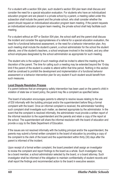For a student with a section 504 plan, such student's section 504 plan team shall discuss and consider the need for a special education evaluation. For students who have an individualized education program and are placed in a private school by a parent, a meeting called under this subsection shall include the parent and the private school, who shall consider whether the parent should request an individualized education program team meeting. If the parent requests an individualized education program team meeting, the private school shall help facilitate such meeting.

For a student without an IEP or Section 504 plan, the school staff and the parent shall discuss the incident and consider the appropriateness of a referral for a special education evaluation, the need for a functional behavioral assessment, or the need for a behavior intervention plan. Any such meeting shall include the student's parent, a school administrator for the school the student attends, one of the student's teachers, a school employee involved in the incident, and any other school employees designated by the school administrator as appropriate for such meeting.

The student who is the subject of such meetings shall be invited to attend the meeting at the discretion of the parent. The time for calling such a meeting may be extended beyond the 10-day limit if the parent of the student is unable to attend within that time period. Nothing in this section shall be construed to prohibit the development and implementation of a functional behavior assessment or a behavior intervention plan for any student if such student would benefit from such measures.

#### **Local Dispute Resolution Process**

If a parent believes that an emergency safety intervention has been used on the parent's child in violation of state law or board policy, the parent may file a complaint as specified below.

The board of education encourages parents to attempt to resolve issues relating to the use of ESI informally with the building principal and/or the superintendent before filing a formal complaint with the board. Once an informal complaint is received, the administrator handling such complaint shall investigate such matter, as deemed appropriate by the administrator. In the event that the complaint is resolved informally, the administrator must provide a written report of the informal resolution to the superintendent and the parents and retain a copy of the report at the school. The superintendent will share the informal resolution with the board of education and provide a copy to the State Department of Education.

If the issues are not resolved informally with the building principal and/or the superintendent, the parents may submit a formal written complaint to the board of education by providing a copy of the complaint to the clerk of the board and the superintendent within thirty (30) days after the parent is informed of the incident.

Upon receipt of a formal written complaint, the board president shall assign an investigator to review the complaint and report findings to the board as a whole. Such investigator may be a board member, a school administrator selected by the board, or a board attorney. Such investigator shall be informed of the obligation to maintain confidentiality of student records and shall report the findings and recommended action to the board in executive session.